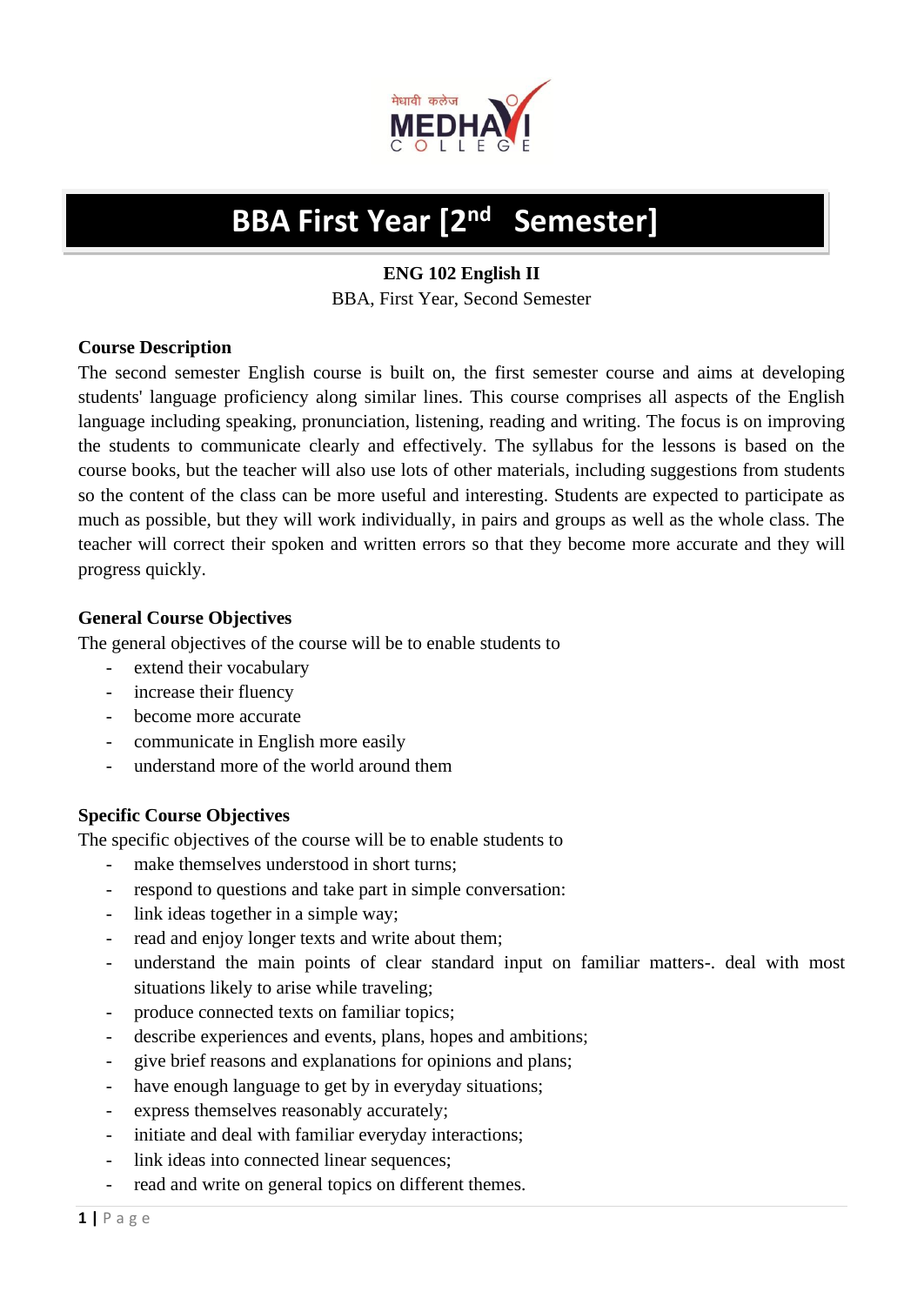

#### **BBA First Year [2nd Semester]**

# **ENG 102 English II** BBA, First Year, Second Semester

### **Course Description**

The second semester English course is built on, the first semester course and aims at developing students' language proficiency along similar lines. This course comprises all aspects of the English language including speaking, pronunciation, listening, reading and writing. The focus is on improving the students to communicate clearly and effectively. The syllabus for the lessons is based on the course books, but the teacher will also use lots of other materials, including suggestions from students so the content of the class can be more useful and interesting. Students are expected to participate as much as possible, but they will work individually, in pairs and groups as well as the whole class. The teacher will correct their spoken and written errors so that they become more accurate and they will progress quickly.

# **General Course Objectives**

The general objectives of the course will be to enable students to

- extend their vocabulary
- increase their fluency
- become more accurate
- communicate in English more easily
- understand more of the world around them

# **Specific Course Objectives**

The specific objectives of the course will be to enable students to

- make themselves understood in short turns;
- respond to questions and take part in simple conversation:
- link ideas together in a simple way;
- read and enjoy longer texts and write about them;
- understand the main points of clear standard input on familiar matters-. deal with most situations likely to arise while traveling;
- produce connected texts on familiar topics;
- describe experiences and events, plans, hopes and ambitions;
- give brief reasons and explanations for opinions and plans;
- have enough language to get by in everyday situations;
- express themselves reasonably accurately;
- initiate and deal with familiar everyday interactions;
- link ideas into connected linear sequences;
- read and write on general topics on different themes.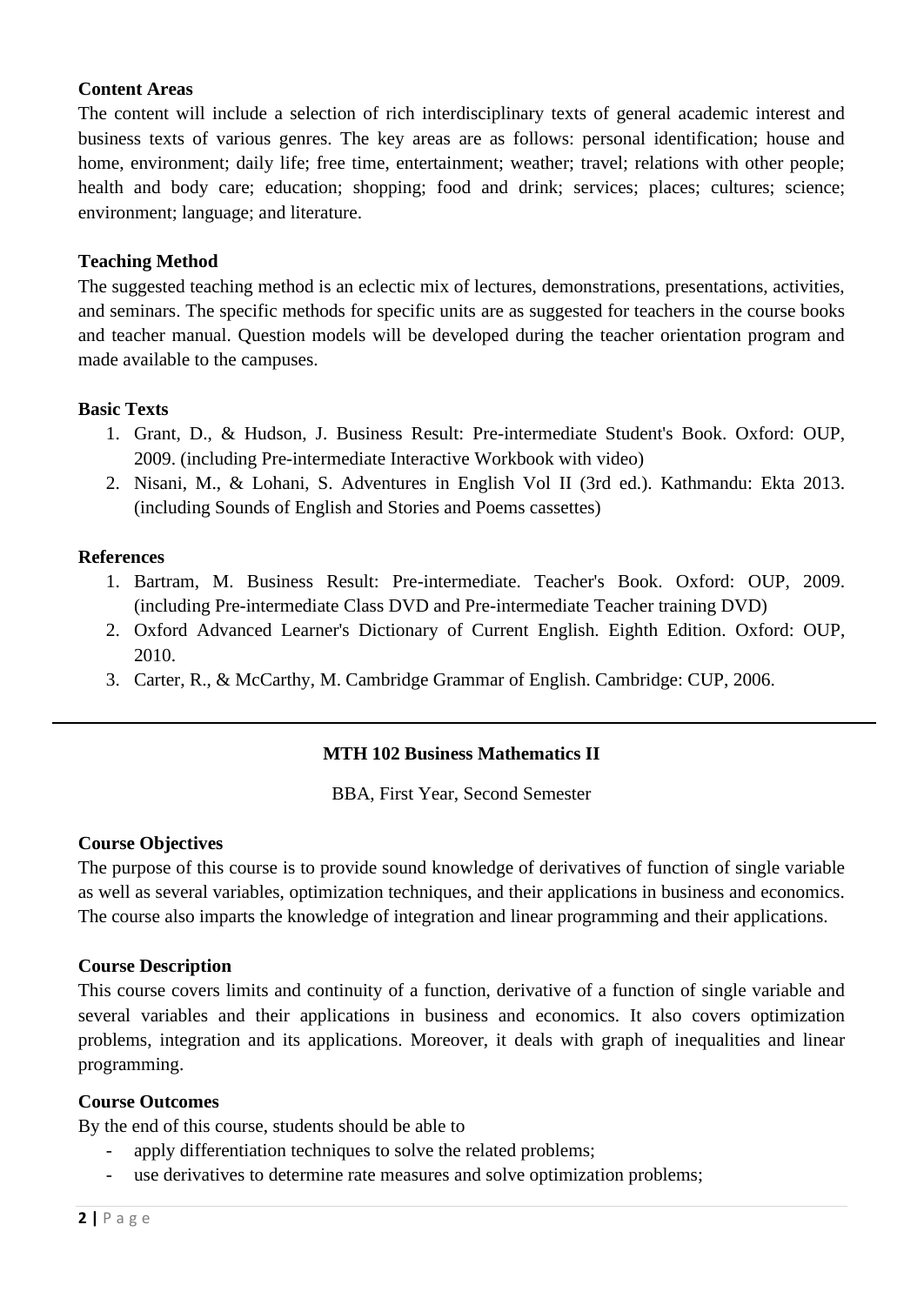#### **Content Areas**

The content will include a selection of rich interdisciplinary texts of general academic interest and business texts of various genres. The key areas are as follows: personal identification; house and home, environment; daily life; free time, entertainment; weather; travel; relations with other people; health and body care; education; shopping; food and drink; services; places; cultures; science; environment; language; and literature.

#### **Teaching Method**

The suggested teaching method is an eclectic mix of lectures, demonstrations, presentations, activities, and seminars. The specific methods for specific units are as suggested for teachers in the course books and teacher manual. Question models will be developed during the teacher orientation program and made available to the campuses.

#### **Basic Texts**

- 1. Grant, D., & Hudson, J. Business Result: Pre-intermediate Student's Book. Oxford: OUP, 2009. (including Pre-intermediate Interactive Workbook with video)
- 2. Nisani, M., & Lohani, S. Adventures in English Vol II (3rd ed.). Kathmandu: Ekta 2013. (including Sounds of English and Stories and Poems cassettes)

#### **References**

- 1. Bartram, M. Business Result: Pre-intermediate. Teacher's Book. Oxford: OUP, 2009. (including Pre-intermediate Class DVD and Pre-intermediate Teacher training DVD)
- 2. Oxford Advanced Learner's Dictionary of Current English. Eighth Edition. Oxford: OUP, 2010.
- 3. Carter, R., & McCarthy, M. Cambridge Grammar of English. Cambridge: CUP, 2006.

### **MTH 102 Business Mathematics II**

BBA, First Year, Second Semester

### **Course Objectives**

The purpose of this course is to provide sound knowledge of derivatives of function of single variable as well as several variables, optimization techniques, and their applications in business and economics. The course also imparts the knowledge of integration and linear programming and their applications.

#### **Course Description**

This course covers limits and continuity of a function, derivative of a function of single variable and several variables and their applications in business and economics. It also covers optimization problems, integration and its applications. Moreover, it deals with graph of inequalities and linear programming.

#### **Course Outcomes**

By the end of this course, students should be able to

- apply differentiation techniques to solve the related problems;
- use derivatives to determine rate measures and solve optimization problems;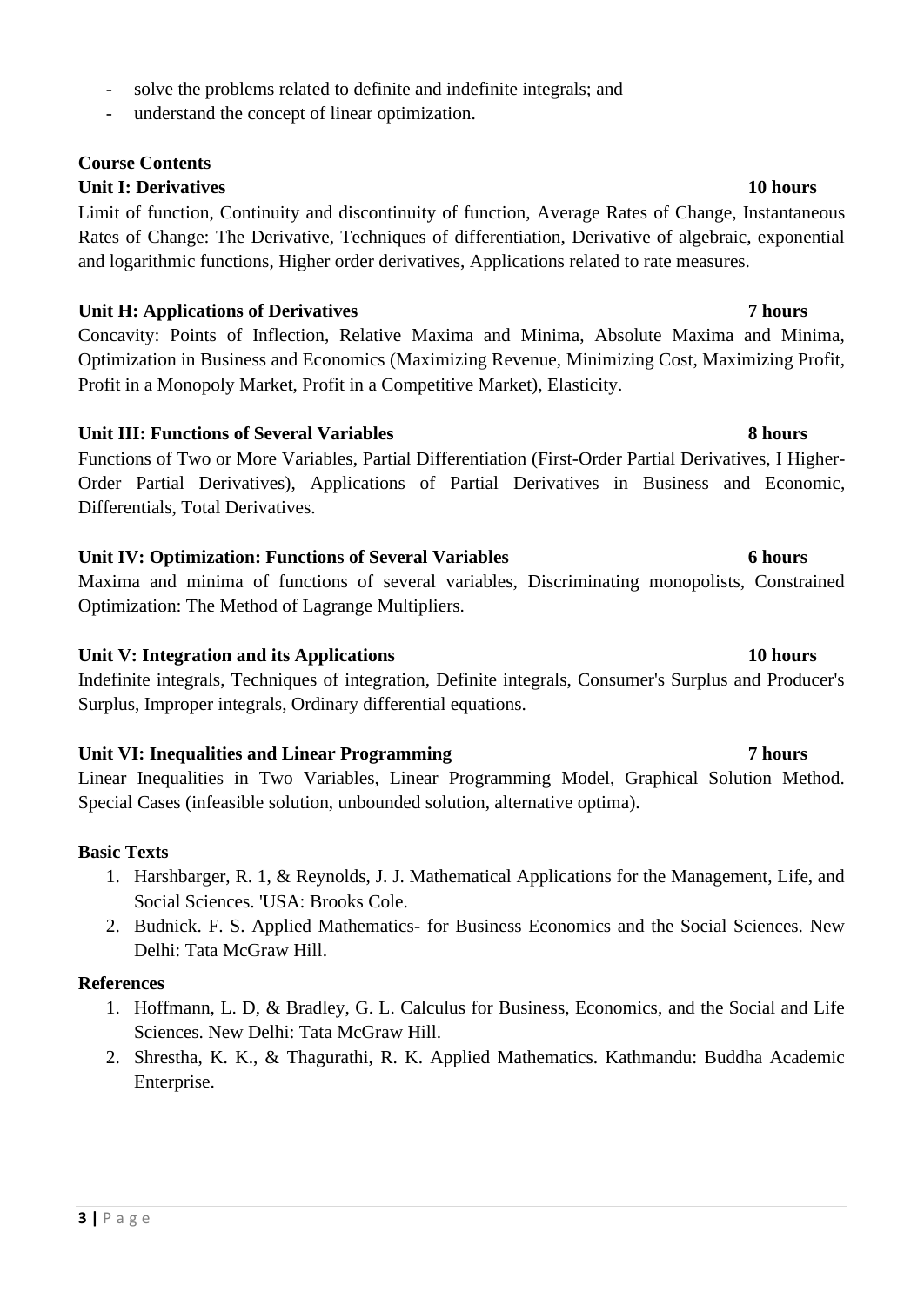- solve the problems related to definite and indefinite integrals; and
- understand the concept of linear optimization.

# **Course Contents**

# **Unit I: Derivatives 10 hours**

Limit of function, Continuity and discontinuity of function, Average Rates of Change, Instantaneous Rates of Change: The Derivative, Techniques of differentiation, Derivative of algebraic, exponential and logarithmic functions, Higher order derivatives, Applications related to rate measures.

# **Unit H: Applications of Derivatives 7 hours**

Concavity: Points of Inflection, Relative Maxima and Minima, Absolute Maxima and Minima, Optimization in Business and Economics (Maximizing Revenue, Minimizing Cost, Maximizing Profit, Profit in a Monopoly Market, Profit in a Competitive Market), Elasticity.

# **Unit III: Functions of Several Variables** 8 hours

Functions of Two or More Variables, Partial Differentiation (First-Order Partial Derivatives, I Higher-Order Partial Derivatives), Applications of Partial Derivatives in Business and Economic, Differentials, Total Derivatives.

# **Unit IV: Optimization: Functions of Several Variables 6 hours**

Maxima and minima of functions of several variables, Discriminating monopolists, Constrained Optimization: The Method of Lagrange Multipliers.

# Unit V: Integration and its Applications 10 hours

Indefinite integrals, Techniques of integration, Definite integrals, Consumer's Surplus and Producer's Surplus, Improper integrals, Ordinary differential equations.

# **Unit VI: Inequalities and Linear Programming 7 hours**

Linear Inequalities in Two Variables, Linear Programming Model, Graphical Solution Method. Special Cases (infeasible solution, unbounded solution, alternative optima).

# **Basic Texts**

- 1. Harshbarger, R. 1, & Reynolds, J. J. Mathematical Applications for the Management, Life, and Social Sciences. 'USA: Brooks Cole.
- 2. Budnick. F. S. Applied Mathematics- for Business Economics and the Social Sciences. New Delhi: Tata McGraw Hill.

# **References**

- 1. Hoffmann, L. D, & Bradley, G. L. Calculus for Business, Economics, and the Social and Life Sciences. New Delhi: Tata McGraw Hill.
- 2. Shrestha, K. K., & Thagurathi, R. K. Applied Mathematics. Kathmandu: Buddha Academic Enterprise.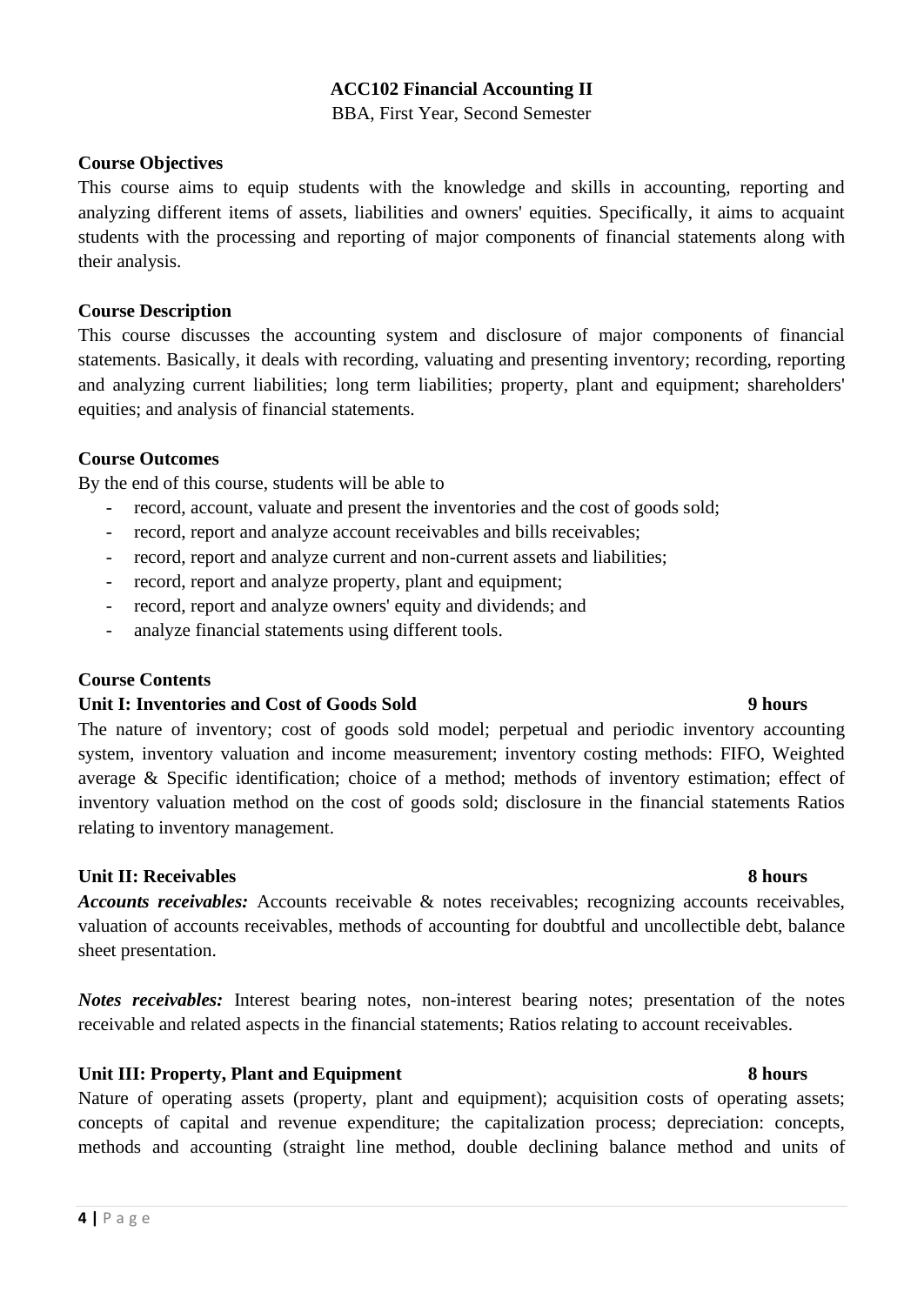#### **ACC102 Financial Accounting II**

BBA, First Year, Second Semester

#### **Course Objectives**

This course aims to equip students with the knowledge and skills in accounting, reporting and analyzing different items of assets, liabilities and owners' equities. Specifically, it aims to acquaint students with the processing and reporting of major components of financial statements along with their analysis.

#### **Course Description**

This course discusses the accounting system and disclosure of major components of financial statements. Basically, it deals with recording, valuating and presenting inventory; recording, reporting and analyzing current liabilities; long term liabilities; property, plant and equipment; shareholders' equities; and analysis of financial statements.

### **Course Outcomes**

By the end of this course, students will be able to

- record, account, valuate and present the inventories and the cost of goods sold;
- record, report and analyze account receivables and bills receivables;
- record, report and analyze current and non-current assets and liabilities;
- record, report and analyze property, plant and equipment;
- record, report and analyze owners' equity and dividends; and
- analyze financial statements using different tools.

#### **Course Contents**

#### **Unit I: Inventories and Cost of Goods Sold 9 hours**

The nature of inventory; cost of goods sold model; perpetual and periodic inventory accounting system, inventory valuation and income measurement; inventory costing methods: FIFO, Weighted average & Specific identification; choice of a method; methods of inventory estimation; effect of inventory valuation method on the cost of goods sold; disclosure in the financial statements Ratios relating to inventory management.

#### **Unit II: Receivables 8 hours**

*Accounts receivables:* Accounts receivable & notes receivables; recognizing accounts receivables, valuation of accounts receivables, methods of accounting for doubtful and uncollectible debt, balance sheet presentation.

*Notes receivables:* Interest bearing notes, non-interest bearing notes; presentation of the notes receivable and related aspects in the financial statements; Ratios relating to account receivables.

### **Unit III: Property, Plant and Equipment 8 hours**

Nature of operating assets (property, plant and equipment); acquisition costs of operating assets; concepts of capital and revenue expenditure; the capitalization process; depreciation: concepts, methods and accounting (straight line method, double declining balance method and units of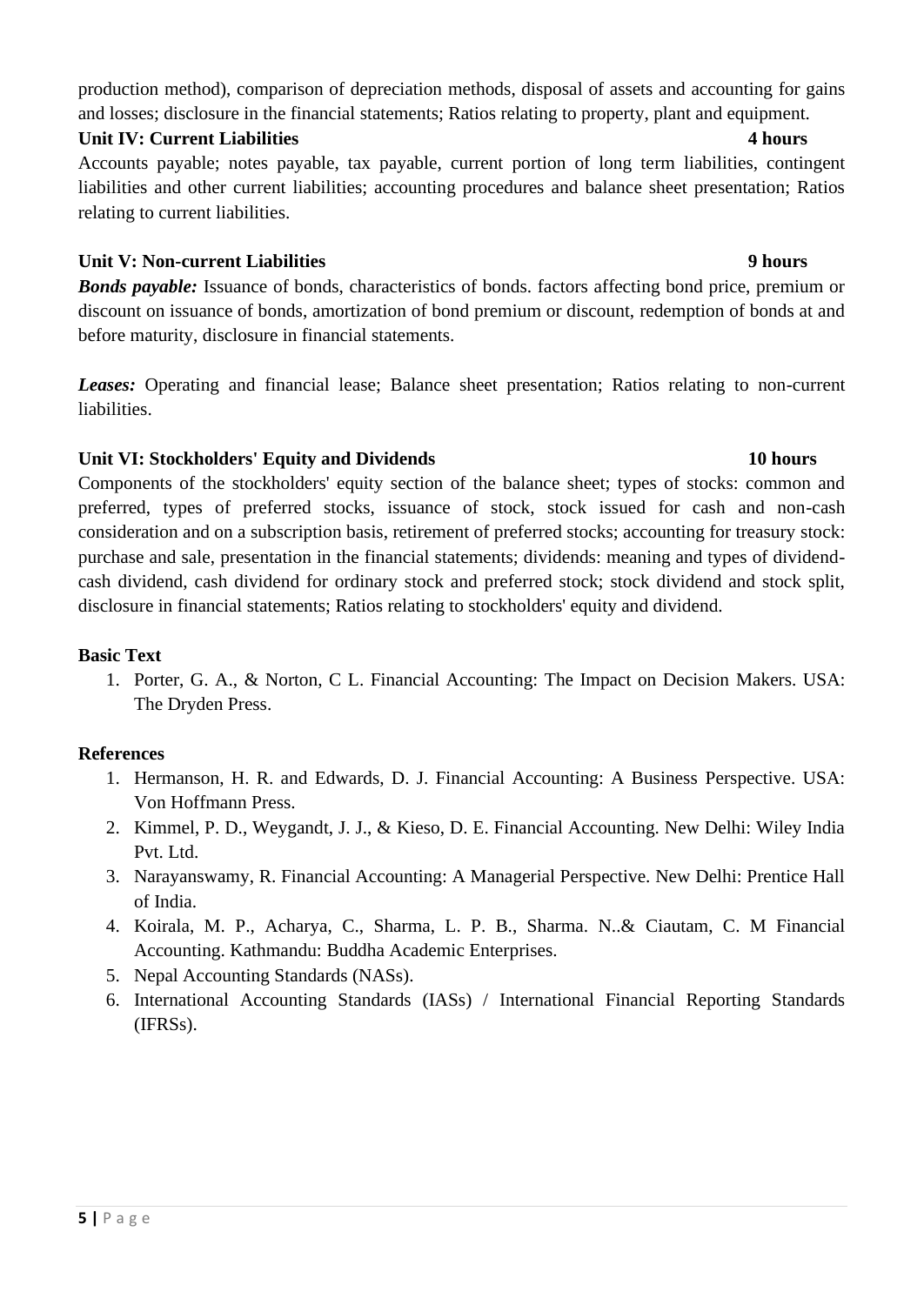production method), comparison of depreciation methods, disposal of assets and accounting for gains and losses; disclosure in the financial statements; Ratios relating to property, plant and equipment.

#### **Unit IV: Current Liabilities 4 hours**

Accounts payable; notes payable, tax payable, current portion of long term liabilities, contingent liabilities and other current liabilities; accounting procedures and balance sheet presentation; Ratios relating to current liabilities.

### **Unit V: Non-current Liabilities 9 hours**

*Bonds payable:* Issuance of bonds, characteristics of bonds. factors affecting bond price, premium or discount on issuance of bonds, amortization of bond premium or discount, redemption of bonds at and before maturity, disclosure in financial statements.

*Leases:* Operating and financial lease; Balance sheet presentation; Ratios relating to non-current liabilities.

# **Unit VI: Stockholders' Equity and Dividends 10 hours**

Components of the stockholders' equity section of the balance sheet; types of stocks: common and preferred, types of preferred stocks, issuance of stock, stock issued for cash and non-cash consideration and on a subscription basis, retirement of preferred stocks; accounting for treasury stock: purchase and sale, presentation in the financial statements; dividends: meaning and types of dividendcash dividend, cash dividend for ordinary stock and preferred stock; stock dividend and stock split, disclosure in financial statements; Ratios relating to stockholders' equity and dividend.

### **Basic Text**

1. Porter, G. A., & Norton, C L. Financial Accounting: The Impact on Decision Makers. USA: The Dryden Press.

# **References**

- 1. Hermanson, H. R. and Edwards, D. J. Financial Accounting: A Business Perspective. USA: Von Hoffmann Press.
- 2. Kimmel, P. D., Weygandt, J. J., & Kieso, D. E. Financial Accounting. New Delhi: Wiley India Pvt. Ltd.
- 3. Narayanswamy, R. Financial Accounting: A Managerial Perspective. New Delhi: Prentice Hall of India.
- 4. Koirala, M. P., Acharya, C., Sharma, L. P. B., Sharma. N..& Ciautam, C. M Financial Accounting. Kathmandu: Buddha Academic Enterprises.
- 5. Nepal Accounting Standards (NASs).
- 6. International Accounting Standards (IASs) / International Financial Reporting Standards (IFRSs).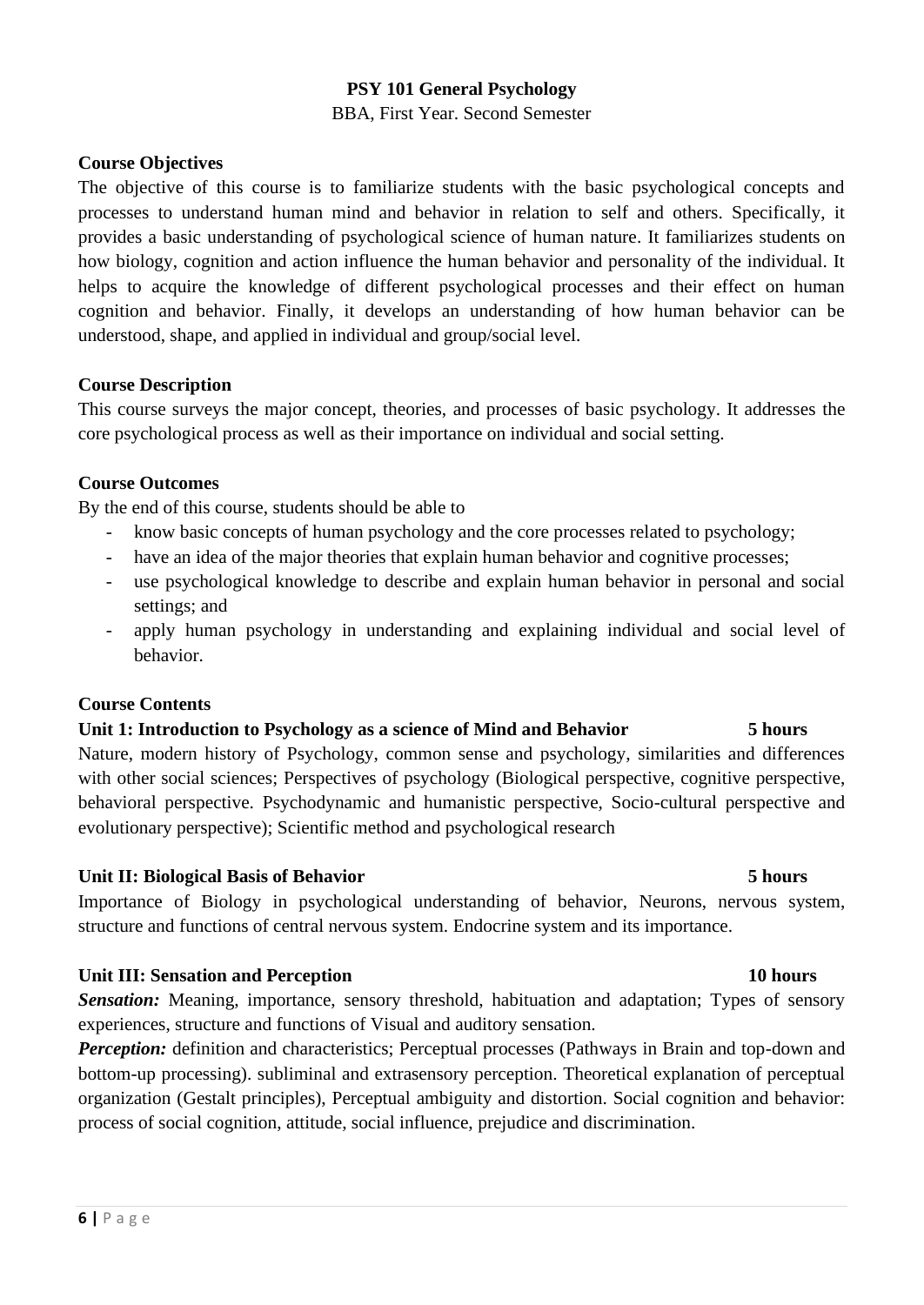#### **PSY 101 General Psychology**

BBA, First Year. Second Semester

#### **Course Objectives**

The objective of this course is to familiarize students with the basic psychological concepts and processes to understand human mind and behavior in relation to self and others. Specifically, it provides a basic understanding of psychological science of human nature. It familiarizes students on how biology, cognition and action influence the human behavior and personality of the individual. It helps to acquire the knowledge of different psychological processes and their effect on human cognition and behavior. Finally, it develops an understanding of how human behavior can be understood, shape, and applied in individual and group/social level.

#### **Course Description**

This course surveys the major concept, theories, and processes of basic psychology. It addresses the core psychological process as well as their importance on individual and social setting.

#### **Course Outcomes**

By the end of this course, students should be able to

- know basic concepts of human psychology and the core processes related to psychology;
- have an idea of the major theories that explain human behavior and cognitive processes;
- use psychological knowledge to describe and explain human behavior in personal and social settings; and
- apply human psychology in understanding and explaining individual and social level of behavior.

### **Course Contents**

#### **Unit 1: Introduction to Psychology as a science of Mind and Behavior 5 hours**

Nature, modern history of Psychology, common sense and psychology, similarities and differences with other social sciences; Perspectives of psychology (Biological perspective, cognitive perspective, behavioral perspective. Psychodynamic and humanistic perspective, Socio-cultural perspective and evolutionary perspective); Scientific method and psychological research

### **Unit II: Biological Basis of Behavior** 5 hours

Importance of Biology in psychological understanding of behavior, Neurons, nervous system, structure and functions of central nervous system. Endocrine system and its importance.

#### **Unit III: Sensation and Perception 10 hours** 10 hours

**Sensation:** Meaning, importance, sensory threshold, habituation and adaptation; Types of sensory experiences, structure and functions of Visual and auditory sensation.

**Perception:** definition and characteristics; Perceptual processes (Pathways in Brain and top-down and bottom-up processing). subliminal and extrasensory perception. Theoretical explanation of perceptual organization (Gestalt principles), Perceptual ambiguity and distortion. Social cognition and behavior: process of social cognition, attitude, social influence, prejudice and discrimination.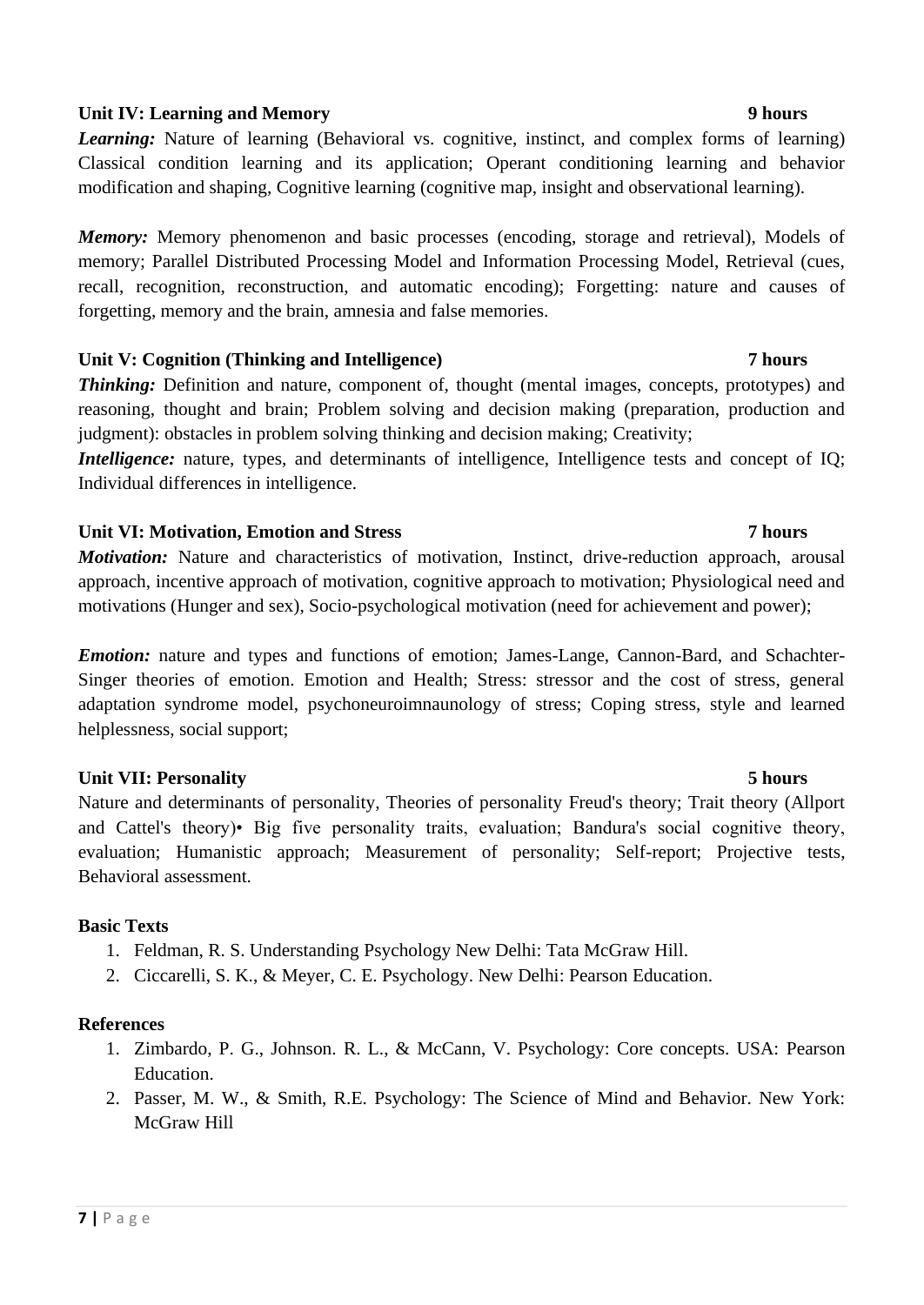### **Unit IV: Learning and Memory 9 hours** 9 hours

*Learning:* Nature of learning (Behavioral vs. cognitive, instinct, and complex forms of learning) Classical condition learning and its application; Operant conditioning learning and behavior modification and shaping, Cognitive learning (cognitive map, insight and observational learning).

*Memory:* Memory phenomenon and basic processes (encoding, storage and retrieval), Models of memory; Parallel Distributed Processing Model and Information Processing Model, Retrieval (cues, recall, recognition, reconstruction, and automatic encoding); Forgetting: nature and causes of forgetting, memory and the brain, amnesia and false memories.

# **Unit V: Cognition (Thinking and Intelligence) 7 hours**

*Thinking:* Definition and nature, component of, thought (mental images, concepts, prototypes) and reasoning, thought and brain; Problem solving and decision making (preparation, production and judgment): obstacles in problem solving thinking and decision making; Creativity;

*Intelligence:* nature, types, and determinants of intelligence, Intelligence tests and concept of IQ; Individual differences in intelligence.

# **Unit VI: Motivation, Emotion and Stress 7 hours**

*Motivation:* Nature and characteristics of motivation, Instinct, drive-reduction approach, arousal approach, incentive approach of motivation, cognitive approach to motivation; Physiological need and motivations (Hunger and sex), Socio-psychological motivation (need for achievement and power);

*Emotion:* nature and types and functions of emotion; James-Lange, Cannon-Bard, and Schachter-Singer theories of emotion. Emotion and Health; Stress: stressor and the cost of stress, general adaptation syndrome model, psychoneuroimnaunology of stress; Coping stress, style and learned helplessness, social support;

# **Unit VII: Personality 5 hours**

Nature and determinants of personality, Theories of personality Freud's theory; Trait theory (Allport and Cattel's theory)• Big five personality traits, evaluation; Bandura's social cognitive theory, evaluation; Humanistic approach; Measurement of personality; Self-report; Projective tests, Behavioral assessment.

### **Basic Texts**

- 1. Feldman, R. S. Understanding Psychology New Delhi: Tata McGraw Hill.
- 2. Ciccarelli, S. K., & Meyer, C. E. Psychology. New Delhi: Pearson Education.

### **References**

- 1. Zimbardo, P. G., Johnson. R. L., & McCann, V. Psychology: Core concepts. USA: Pearson Education.
- 2. Passer, M. W., & Smith, R.E. Psychology: The Science of Mind and Behavior. New York: McGraw Hill

### **7 |** P a g e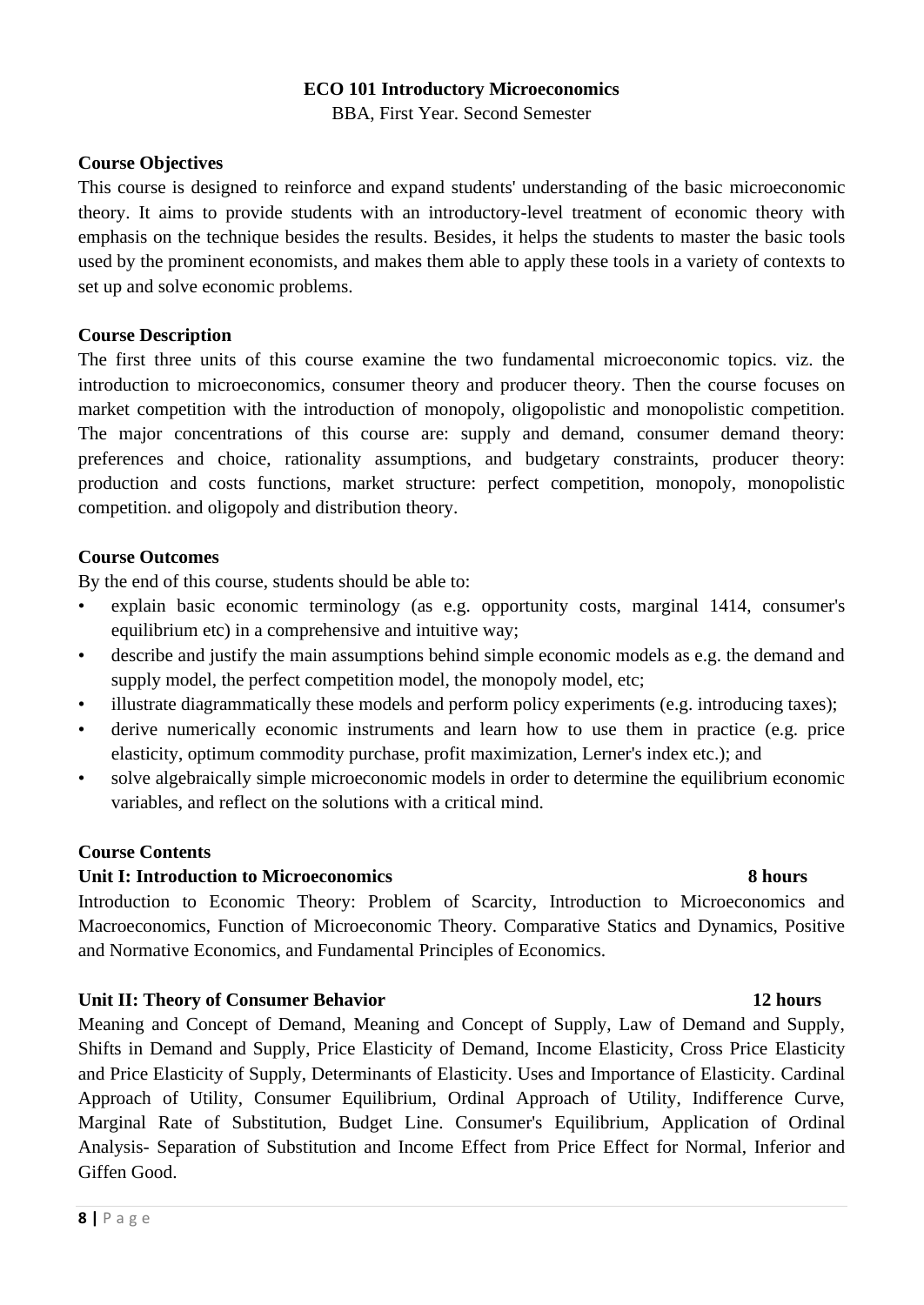#### **ECO 101 Introductory Microeconomics**

BBA, First Year. Second Semester

#### **Course Objectives**

This course is designed to reinforce and expand students' understanding of the basic microeconomic theory. It aims to provide students with an introductory-level treatment of economic theory with emphasis on the technique besides the results. Besides, it helps the students to master the basic tools used by the prominent economists, and makes them able to apply these tools in a variety of contexts to set up and solve economic problems.

#### **Course Description**

The first three units of this course examine the two fundamental microeconomic topics. viz. the introduction to microeconomics, consumer theory and producer theory. Then the course focuses on market competition with the introduction of monopoly, oligopolistic and monopolistic competition. The major concentrations of this course are: supply and demand, consumer demand theory: preferences and choice, rationality assumptions, and budgetary constraints, producer theory: production and costs functions, market structure: perfect competition, monopoly, monopolistic competition. and oligopoly and distribution theory.

### **Course Outcomes**

By the end of this course, students should be able to:

- explain basic economic terminology (as e.g. opportunity costs, marginal 1414, consumer's equilibrium etc) in a comprehensive and intuitive way;
- describe and justify the main assumptions behind simple economic models as e.g. the demand and supply model, the perfect competition model, the monopoly model, etc;
- illustrate diagrammatically these models and perform policy experiments (e.g. introducing taxes);
- derive numerically economic instruments and learn how to use them in practice (e.g. price elasticity, optimum commodity purchase, profit maximization, Lerner's index etc.); and
- solve algebraically simple microeconomic models in order to determine the equilibrium economic variables, and reflect on the solutions with a critical mind.

### **Course Contents**

### **Unit I: Introduction to Microeconomics 8 hours**

Introduction to Economic Theory: Problem of Scarcity, Introduction to Microeconomics and Macroeconomics, Function of Microeconomic Theory. Comparative Statics and Dynamics, Positive and Normative Economics, and Fundamental Principles of Economics.

#### **Unit II: Theory of Consumer Behavior 12 hours**

Meaning and Concept of Demand, Meaning and Concept of Supply, Law of Demand and Supply, Shifts in Demand and Supply, Price Elasticity of Demand, Income Elasticity, Cross Price Elasticity and Price Elasticity of Supply, Determinants of Elasticity. Uses and Importance of Elasticity. Cardinal Approach of Utility, Consumer Equilibrium, Ordinal Approach of Utility, Indifference Curve, Marginal Rate of Substitution, Budget Line. Consumer's Equilibrium, Application of Ordinal Analysis- Separation of Substitution and Income Effect from Price Effect for Normal, Inferior and Giffen Good.